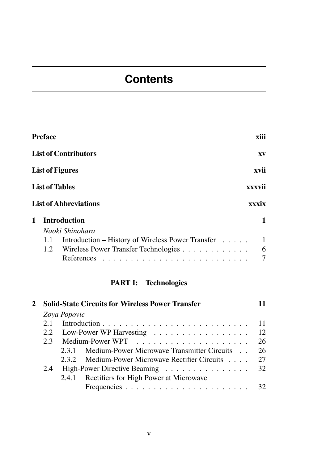# **Contents**

|   | Preface |                                                   | xiii   |
|---|---------|---------------------------------------------------|--------|
|   |         | <b>List of Contributors</b>                       | XV     |
|   |         | <b>List of Figures</b>                            | xvii   |
|   |         | <b>List of Tables</b>                             | xxxvii |
|   |         | <b>List of Abbreviations</b>                      | xxxix  |
| 1 |         | <b>Introduction</b>                               | 1      |
|   |         | Naoki Shinohara                                   |        |
|   | 1.1     | Introduction – History of Wireless Power Transfer | 1      |
|   | 1.2     | Wireless Power Transfer Technologies              | 6      |
|   |         |                                                   | 7      |
|   |         |                                                   |        |

## **PART I: Technologies**

|              | <b>Solid-State Circuits for Wireless Power Transfer</b> |                                                 |    |  |
|--------------|---------------------------------------------------------|-------------------------------------------------|----|--|
| Zoya Popovic |                                                         |                                                 |    |  |
| 2.1          |                                                         |                                                 |    |  |
|              |                                                         | 2.2 Low-Power WP Harvesting 12                  |    |  |
|              |                                                         |                                                 | 26 |  |
|              | 231                                                     | Medium-Power Microwave Transmitter Circuits     | 26 |  |
|              |                                                         | 2.3.2 Medium-Power Microwave Rectifier Circuits | 27 |  |
| 2.4          |                                                         | High-Power Directive Beaming 32                 |    |  |
|              |                                                         | 2.4.1 Rectifiers for High Power at Microwave    |    |  |
|              |                                                         |                                                 | 32 |  |
|              |                                                         |                                                 |    |  |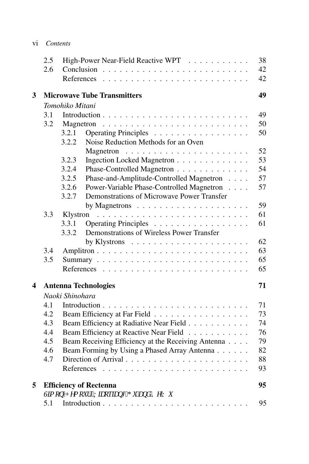|                         | 2.5<br>2.6                        | References      | High-Power Near-Field Reactive WPT                                                                                                                                                                                                                                                                                                                                                                                                                            | 38<br>42<br>42 |  |  |
|-------------------------|-----------------------------------|-----------------|---------------------------------------------------------------------------------------------------------------------------------------------------------------------------------------------------------------------------------------------------------------------------------------------------------------------------------------------------------------------------------------------------------------------------------------------------------------|----------------|--|--|
| 3                       |                                   |                 | <b>Microwave Tube Transmitters</b>                                                                                                                                                                                                                                                                                                                                                                                                                            | 49             |  |  |
|                         |                                   | Tomohiko Mitani |                                                                                                                                                                                                                                                                                                                                                                                                                                                               |                |  |  |
|                         | 3.1                               |                 |                                                                                                                                                                                                                                                                                                                                                                                                                                                               | 49             |  |  |
|                         | 3.2                               | Magnetron       | $\mathcal{L}_{\mathcal{A}}(\mathcal{A},\mathcal{A},\mathcal{A},\mathcal{A},\mathcal{A},\mathcal{A},\mathcal{A},\mathcal{A},\mathcal{A},\mathcal{A},\mathcal{A},\mathcal{A},\mathcal{A},\mathcal{A},\mathcal{A},\mathcal{A},\mathcal{A},\mathcal{A},\mathcal{A},\mathcal{A},\mathcal{A},\mathcal{A},\mathcal{A},\mathcal{A},\mathcal{A},\mathcal{A},\mathcal{A},\mathcal{A},\mathcal{A},\mathcal{A},\mathcal{A},\mathcal{A},\mathcal{A},\mathcal{A},\mathcal{$ | 50             |  |  |
|                         |                                   | 3.2.1           | Operating Principles                                                                                                                                                                                                                                                                                                                                                                                                                                          | 50             |  |  |
|                         |                                   | 3.2.2           | Noise Reduction Methods for an Oven                                                                                                                                                                                                                                                                                                                                                                                                                           |                |  |  |
|                         |                                   |                 |                                                                                                                                                                                                                                                                                                                                                                                                                                                               | 52             |  |  |
|                         |                                   | 3.2.3           | Ingection Locked Magnetron                                                                                                                                                                                                                                                                                                                                                                                                                                    | 53             |  |  |
|                         |                                   | 3.2.4           | Phase-Controlled Magnetron                                                                                                                                                                                                                                                                                                                                                                                                                                    | 54             |  |  |
|                         |                                   | 3.2.5           | Phase-and-Amplitude-Controlled Magnetron                                                                                                                                                                                                                                                                                                                                                                                                                      | 57             |  |  |
|                         |                                   | 3.2.6           | Power-Variable Phase-Controlled Magnetron                                                                                                                                                                                                                                                                                                                                                                                                                     | 57             |  |  |
|                         |                                   | 3.2.7           | Demonstrations of Microwave Power Transfer                                                                                                                                                                                                                                                                                                                                                                                                                    |                |  |  |
|                         |                                   |                 | by Magnetrons $\ldots \ldots \ldots \ldots \ldots \ldots$                                                                                                                                                                                                                                                                                                                                                                                                     | 59             |  |  |
|                         | 3.3                               | Klystron        |                                                                                                                                                                                                                                                                                                                                                                                                                                                               | 61             |  |  |
|                         |                                   | 3.3.1           | Operating Principles                                                                                                                                                                                                                                                                                                                                                                                                                                          | 61             |  |  |
|                         |                                   | 3.3.2           | Demonstrations of Wireless Power Transfer                                                                                                                                                                                                                                                                                                                                                                                                                     |                |  |  |
|                         |                                   |                 |                                                                                                                                                                                                                                                                                                                                                                                                                                                               | 62             |  |  |
|                         | 3.4                               |                 |                                                                                                                                                                                                                                                                                                                                                                                                                                                               | 63             |  |  |
|                         | 3.5                               |                 |                                                                                                                                                                                                                                                                                                                                                                                                                                                               | 65             |  |  |
|                         |                                   |                 |                                                                                                                                                                                                                                                                                                                                                                                                                                                               | 65             |  |  |
| $\overline{\mathbf{4}}$ | 71<br><b>Antenna Technologies</b> |                 |                                                                                                                                                                                                                                                                                                                                                                                                                                                               |                |  |  |
|                         |                                   | Naoki Shinohara |                                                                                                                                                                                                                                                                                                                                                                                                                                                               |                |  |  |
|                         | 4.1                               |                 |                                                                                                                                                                                                                                                                                                                                                                                                                                                               | 71             |  |  |
|                         | 4.2                               |                 | Beam Efficiency at Far Field                                                                                                                                                                                                                                                                                                                                                                                                                                  | 73             |  |  |
|                         | 4.3                               |                 | Beam Efficiency at Radiative Near Field                                                                                                                                                                                                                                                                                                                                                                                                                       | 74             |  |  |
|                         | 4.4                               |                 | Beam Efficiency at Reactive Near Field                                                                                                                                                                                                                                                                                                                                                                                                                        | 76             |  |  |
|                         | 4.5                               |                 | Beam Receiving Efficiency at the Receiving Antenna                                                                                                                                                                                                                                                                                                                                                                                                            | 79             |  |  |
|                         | 4.6                               |                 | Beam Forming by Using a Phased Array Antenna                                                                                                                                                                                                                                                                                                                                                                                                                  | 82             |  |  |
|                         | 4.7                               |                 |                                                                                                                                                                                                                                                                                                                                                                                                                                                               | 88             |  |  |
|                         |                                   |                 |                                                                                                                                                                                                                                                                                                                                                                                                                                                               | 93             |  |  |
| 5                       |                                   |                 | <b>Efficiency of Rectenna</b>                                                                                                                                                                                                                                                                                                                                                                                                                                 | 95             |  |  |
|                         |                                   |                 | Uo qp''J go q $M$ . 'Zkcqskcpi 'I w'cpf 'Mg'Y w                                                                                                                                                                                                                                                                                                                                                                                                               |                |  |  |
|                         | 5.1                               |                 |                                                                                                                                                                                                                                                                                                                                                                                                                                                               | 95             |  |  |

vi *Contents*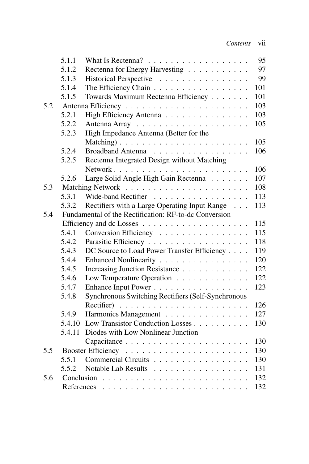|     | 5.1.1      | What Is Rectenna? $\ldots \ldots \ldots \ldots \ldots \ldots$ | 95  |
|-----|------------|---------------------------------------------------------------|-----|
|     | 5.1.2      | Rectenna for Energy Harvesting                                | 97  |
|     | 5.1.3      | Historical Perspective                                        | 99  |
|     | 5.1.4      | The Efficiency Chain                                          | 101 |
|     | 5.1.5      | Towards Maximum Rectenna Efficiency                           | 101 |
| 5.2 |            |                                                               | 103 |
|     | 5.2.1      | High Efficiency Antenna                                       | 103 |
|     | 5.2.2      |                                                               | 105 |
|     | 5.2.3      | High Impedance Antenna (Better for the                        |     |
|     |            | Matching)                                                     | 105 |
|     | 5.2.4      | Broadband Antenna                                             | 106 |
|     | 5.2.5      | Rectenna Integrated Design without Matching                   |     |
|     |            |                                                               | 106 |
|     | 5.2.6      | Large Solid Angle High Gain Rectenna                          | 107 |
| 5.3 |            |                                                               | 108 |
|     | 5.3.1      | Wide-band Rectifier                                           | 113 |
|     | 5.3.2      | Rectifiers with a Large Operating Input Range                 | 113 |
| 5.4 |            | Fundamental of the Rectification: RF-to-dc Conversion         |     |
|     |            |                                                               | 115 |
|     | 5.4.1      | Conversion Efficiency                                         | 115 |
|     | 5.4.2      |                                                               | 118 |
|     | 5.4.3      | DC Source to Load Power Transfer Efficiency                   | 119 |
|     | 5.4.4      | Enhanced Nonlinearity                                         | 120 |
|     | 5.4.5      | Increasing Junction Resistance                                | 122 |
|     | 5.4.6      | Low Temperature Operation                                     | 122 |
|     | 5.4.7      | Enhance Input Power                                           | 123 |
|     | 5.4.8      | Synchronous Switching Rectifiers (Self-Synchronous            |     |
|     |            |                                                               | 126 |
|     | 5.4.9      | Harmonics Management                                          | 127 |
|     | 5.4.10     | Low Transistor Conduction Losses                              | 130 |
|     | 5.4.11     | Diodes with Low Nonlinear Junction                            |     |
|     |            |                                                               | 130 |
| 5.5 |            |                                                               | 130 |
|     | 5.5.1      | Commercial Circuits                                           | 130 |
|     | 5.5.2      | Notable Lab Results                                           | 131 |
| 5.6 | Conclusion |                                                               | 132 |
|     | References |                                                               | 132 |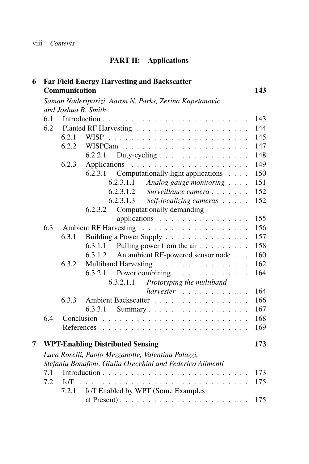## **PART II: Applications**

| 6 |                                                           |               | <b>Far Field Energy Harvesting and Backscatter</b>           |     |  |  |  |
|---|-----------------------------------------------------------|---------------|--------------------------------------------------------------|-----|--|--|--|
|   |                                                           | Communication |                                                              | 143 |  |  |  |
|   |                                                           |               | Saman Naderiparizi, Aaron N. Parks, Zerina Kapetanovic       |     |  |  |  |
|   | and Joshua R. Smith                                       |               |                                                              |     |  |  |  |
|   | 6.1                                                       |               |                                                              | 143 |  |  |  |
|   | 6.2                                                       |               |                                                              | 144 |  |  |  |
|   |                                                           | 6.2.1         | <b>WISP</b>                                                  | 145 |  |  |  |
|   |                                                           | 6.2.2         |                                                              | 147 |  |  |  |
|   |                                                           |               | Duty-cycling $\ldots \ldots \ldots \ldots \ldots$<br>6.2.2.1 | 148 |  |  |  |
|   |                                                           | 6.2.3         |                                                              | 149 |  |  |  |
|   |                                                           |               | 6.2.3.1<br>Computationally light applications                | 150 |  |  |  |
|   |                                                           |               | 6.2.3.1.1<br>Analog gauge monitoring                         | 151 |  |  |  |
|   |                                                           |               | 6.2.3.1.2<br>Surveillance camera                             | 152 |  |  |  |
|   |                                                           |               | 6.2.3.1.3<br>Self-localizing cameras                         | 152 |  |  |  |
|   |                                                           |               | Computationally demanding<br>6.2.3.2                         |     |  |  |  |
|   |                                                           |               | applications                                                 | 155 |  |  |  |
|   | 6.3                                                       |               |                                                              | 156 |  |  |  |
|   |                                                           | 6.3.1         | Building a Power Supply                                      | 157 |  |  |  |
|   |                                                           |               | Pulling power from the $air \dots \dots$<br>6.3.1.1          | 158 |  |  |  |
|   |                                                           |               | An ambient RF-powered sensor node<br>6.3.1.2                 | 160 |  |  |  |
|   |                                                           | 6.3.2         | Multiband Harvesting                                         | 162 |  |  |  |
|   |                                                           |               | 6.3.2.1<br>Power combining $\ldots \ldots \ldots \ldots$     | 164 |  |  |  |
|   |                                                           |               | 6.3.2.1.1<br>Prototyping the multiband                       |     |  |  |  |
|   |                                                           |               |                                                              | 164 |  |  |  |
|   |                                                           | 6.3.3         | Ambient Backscatter                                          | 166 |  |  |  |
|   |                                                           |               | 6.3.3.1<br>Summary                                           | 167 |  |  |  |
|   | 6.4                                                       |               |                                                              | 168 |  |  |  |
|   |                                                           |               |                                                              | 169 |  |  |  |
| 7 |                                                           |               | <b>WPT-Enabling Distributed Sensing</b>                      | 173 |  |  |  |
|   | Luca Roselli, Paolo Mezzanotte, Valentina Palazzi,        |               |                                                              |     |  |  |  |
|   | Stefania Bonafoni, Giulia Orecchini and Federico Alimenti |               |                                                              |     |  |  |  |
|   | 7.1                                                       |               | Introduction $\cdots$                                        | 173 |  |  |  |
|   | 7.2                                                       | IoT           |                                                              | 175 |  |  |  |
|   |                                                           | 7.2.1         | IoT Enabled by WPT (Some Examples                            |     |  |  |  |
|   |                                                           |               |                                                              | 175 |  |  |  |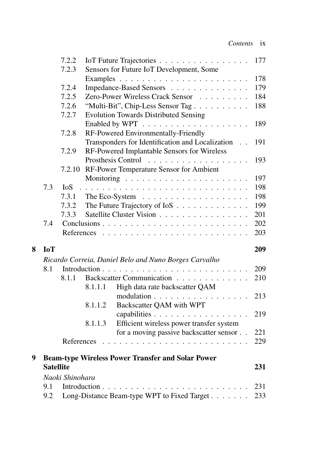|   |                  | 7.2.2           |         | IoT Future Trajectories                                                  | 177 |
|---|------------------|-----------------|---------|--------------------------------------------------------------------------|-----|
|   |                  | 7.2.3           |         | Sensors for Future IoT Development, Some                                 |     |
|   |                  |                 |         |                                                                          | 178 |
|   |                  | 7.2.4           |         | Impedance-Based Sensors                                                  | 179 |
|   |                  | 7.2.5           |         | Zero-Power Wireless Crack Sensor                                         | 184 |
|   |                  | 7.2.6           |         | "Multi-Bit", Chip-Less Sensor Tag                                        | 188 |
|   |                  | 7.2.7           |         | <b>Evolution Towards Distributed Sensing</b>                             |     |
|   |                  |                 |         |                                                                          | 189 |
|   |                  | 7.2.8           |         | RF-Powered Environmentally-Friendly                                      |     |
|   |                  |                 |         | Transponders for Identification and Localization<br>$\ddot{\phantom{0}}$ | 191 |
|   |                  | 7.2.9           |         | RF-Powered Implantable Sensors for Wireless                              |     |
|   |                  |                 |         | Prosthesis Control<br>.                                                  | 193 |
|   |                  | 7.2.10          |         | RF-Power Temperature Sensor for Ambient                                  |     |
|   |                  |                 |         |                                                                          | 197 |
|   | 7.3              | <b>IoS</b>      |         |                                                                          | 198 |
|   |                  | 7.3.1           |         | The Eco-System $\ldots \ldots \ldots \ldots \ldots \ldots$               | 198 |
|   |                  | 7.3.2           |         | The Future Trajectory of IoS                                             | 199 |
|   |                  | 7.3.3           |         | Satellite Cluster Vision                                                 | 201 |
|   | 7.4              |                 |         |                                                                          | 202 |
|   |                  |                 |         |                                                                          | 203 |
| 8 | <b>IoT</b>       |                 |         |                                                                          | 209 |
|   |                  |                 |         | Ricardo Correia, Daniel Belo and Nuno Borges Carvalho                    |     |
|   | 8.1              |                 |         |                                                                          | 209 |
|   |                  | 8.1.1           |         | Backscatter Communication                                                | 210 |
|   |                  |                 | 8.1.1.1 | High data rate backscatter QAM                                           |     |
|   |                  |                 |         | modulation                                                               | 213 |
|   |                  |                 | 8.1.1.2 | Backscatter QAM with WPT                                                 |     |
|   |                  |                 |         | capabilities                                                             | 219 |
|   |                  |                 | 8.1.1.3 | Efficient wireless power transfer system                                 |     |
|   |                  |                 |         | for a moving passive backscatter sensor                                  | 221 |
|   |                  | References      |         |                                                                          | 229 |
| 9 |                  |                 |         | <b>Beam-type Wireless Power Transfer and Solar Power</b>                 |     |
|   | <b>Satellite</b> |                 |         |                                                                          | 231 |
|   |                  | Naoki Shinohara |         |                                                                          |     |
|   | 9.1              |                 |         |                                                                          | 231 |
|   | 9.2              |                 |         | Long-Distance Beam-type WPT to Fixed Target                              | 233 |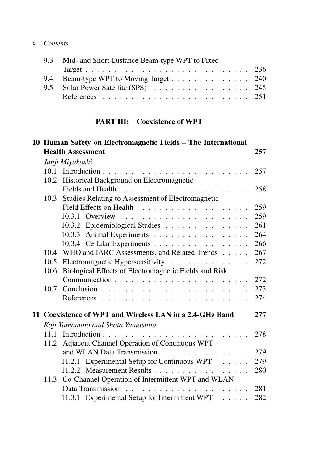#### x *Contents*

| 9.3 Mid- and Short-Distance Beam-type WPT to Fixed |  |
|----------------------------------------------------|--|
|                                                    |  |
| 9.4 Beam-type WPT to Moving Target 240             |  |
| 9.5 Solar Power Satellite (SPS) 245                |  |
|                                                    |  |
|                                                    |  |

#### **PART III: Coexistence of WPT**

|  | 10 Human Safety on Electromagnetic Fields – The International |                                                          |     |  |
|--|---------------------------------------------------------------|----------------------------------------------------------|-----|--|
|  |                                                               | <b>Health Assessment</b>                                 | 257 |  |
|  | Junji Miyakoshi                                               |                                                          |     |  |
|  |                                                               |                                                          | 257 |  |
|  |                                                               | 10.2 Historical Background on Electromagnetic            |     |  |
|  |                                                               |                                                          | 258 |  |
|  | 10.3                                                          | Studies Relating to Assessment of Electromagnetic        |     |  |
|  |                                                               |                                                          | 259 |  |
|  |                                                               |                                                          | 259 |  |
|  |                                                               | 10.3.2 Epidemiological Studies                           | 261 |  |
|  |                                                               | 10.3.3 Animal Experiments                                | 264 |  |
|  |                                                               | 10.3.4 Cellular Experiments                              | 266 |  |
|  |                                                               | 10.4 WHO and IARC Assessments, and Related Trends        | 267 |  |
|  | 10.5                                                          | Electromagnetic Hypersensitivity                         | 272 |  |
|  | 10.6                                                          | Biological Effects of Electromagnetic Fields and Risk    |     |  |
|  |                                                               |                                                          | 272 |  |
|  | 10.7                                                          |                                                          | 273 |  |
|  |                                                               |                                                          | 274 |  |
|  |                                                               | 11 Coexistence of WPT and Wireless LAN in a 2.4-GHz Band | 277 |  |
|  |                                                               | Koji Yamamoto and Shota Yamashita                        |     |  |
|  |                                                               |                                                          | 278 |  |
|  |                                                               | 11.2 Adjacent Channel Operation of Continuous WPT        |     |  |
|  |                                                               | and WLAN Data Transmission                               | 279 |  |
|  |                                                               | 11.2.1 Experimental Setup for Continuous WPT             | 279 |  |
|  |                                                               | 11.2.2 Measurement Results                               | 280 |  |
|  |                                                               | 11.3 Co-Channel Operation of Intermittent WPT and WLAN   |     |  |
|  |                                                               |                                                          | 281 |  |
|  |                                                               | 11.3.1 Experimental Setup for Intermittent WPT           | 282 |  |
|  |                                                               |                                                          |     |  |